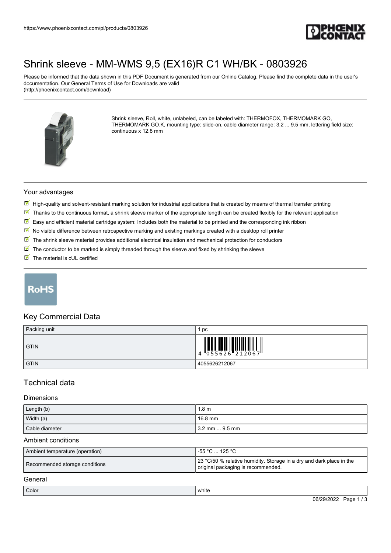

# [Shrink sleeve - MM-WMS 9,5 \(EX16\)R C1 WH/BK - 0803926](https://www.phoenixcontact.com/pi/products/0803926)

Please be informed that the data shown in this PDF Document is generated from our Online Catalog. Please find the complete data in the user's documentation. Our General Terms of Use for Downloads are valid (http://phoenixcontact.com/download)



Shrink sleeve, Roll, white, unlabeled, can be labeled with: THERMOFOX, THERMOMARK GO, THERMOMARK GO.K, mounting type: slide-on, cable diameter range: 3.2 ... 9.5 mm, lettering field size: continuous x 12.8 mm

### Your advantages

- $\mathbb N$  High-quality and solvent-resistant marking solution for industrial applications that is created by means of thermal transfer printing
- $\boxed{\blacksquare}$  Thanks to the continuous format, a shrink sleeve marker of the appropriate length can be created flexibly for the relevant application
- $\mathbb{F}$  Easy and efficient material cartridge system: Includes both the material to be printed and the corresponding ink ribbon
- $\boxed{\mathbb{Y}}$  No visible difference between retrospective marking and existing markings created with a desktop roll printer
- The shrink sleeve material provides additional electrical insulation and mechanical protection for conductors
- $\boxed{\blacksquare}$  The conductor to be marked is simply threaded through the sleeve and fixed by shrinking the sleeve
- $\blacksquare$  The material is cUL certified

# **RoHS**

### Key Commercial Data

| Packing unit | pc                                                                                                                                                                                                                                                                                                                          |
|--------------|-----------------------------------------------------------------------------------------------------------------------------------------------------------------------------------------------------------------------------------------------------------------------------------------------------------------------------|
| <b>GTIN</b>  | $\begin{array}{c} 1 & 0 & 0 & 0 \\ 0 & 0 & 0 & 0 & 0 \\ 0 & 0 & 0 & 0 & 0 \\ 0 & 0 & 0 & 0 & 0 \\ 0 & 0 & 0 & 0 & 0 \\ 0 & 0 & 0 & 0 & 0 \\ 0 & 0 & 0 & 0 & 0 \\ 0 & 0 & 0 & 0 & 0 \\ 0 & 0 & 0 & 0 & 0 \\ 0 & 0 & 0 & 0 & 0 \\ 0 & 0 & 0 & 0 & 0 & 0 \\ 0 & 0 & 0 & 0 & 0 & 0 \\ 0 & 0 & 0 & 0 & 0 & 0 \\ 0 & 0 & 0 & 0 &$ |
| <b>GTIN</b>  | 4055626212067                                                                                                                                                                                                                                                                                                               |

## Technical data

#### **Dimensions**

| Length (b)     | 1.8 <sub>m</sub> |
|----------------|------------------|
| Width (a)      | 16.8 mm          |
| Cable diameter | l 3.2 mm  9.5 mm |

#### Ambient conditions

| Ambient temperature (operation) | ื -55 °C  125 °C                                                                                           |
|---------------------------------|------------------------------------------------------------------------------------------------------------|
| Recommended storage conditions  | 23 °C/50 % relative humidity. Storage in a dry and dark place in the<br>original packaging is recommended. |

### General

| Color | white<br>$\sim$ $\sim$                                                           |
|-------|----------------------------------------------------------------------------------|
|       | -<br>$\sim$<br>$-$ -<br>$\overline{\phantom{a}}$<br>.<br>٦٥<br>'au<br>. .<br>. . |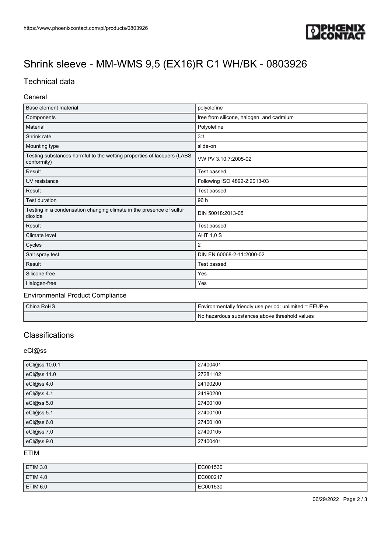

# [Shrink sleeve - MM-WMS 9,5 \(EX16\)R C1 WH/BK - 0803926](https://www.phoenixcontact.com/pi/products/0803926)

## Technical data

## General

| Base element material                                                                 | polyolefine                              |
|---------------------------------------------------------------------------------------|------------------------------------------|
| Components                                                                            | free from silicone, halogen, and cadmium |
| Material                                                                              | Polyolefine                              |
| Shrink rate                                                                           | 3:1                                      |
| Mounting type                                                                         | slide-on                                 |
| Testing substances harmful to the wetting properties of lacquers (LABS<br>conformity) | VW PV 3.10.7:2005-02                     |
| Result                                                                                | Test passed                              |
| UV resistance                                                                         | Following ISO 4892-2:2013-03             |
| Result                                                                                | Test passed                              |
| <b>Test duration</b>                                                                  | 96 h                                     |
| Testing in a condensation changing climate in the presence of sulfur<br>dioxide       | DIN 50018:2013-05                        |
| Result                                                                                | Test passed                              |
| Climate level                                                                         | <b>AHT 1,0 S</b>                         |
| Cycles                                                                                | 2                                        |
| Salt spray test                                                                       | DIN EN 60068-2-11:2000-02                |
| Result                                                                                | Test passed                              |
| Silicone-free                                                                         | Yes                                      |
| Halogen-free                                                                          | Yes                                      |

### Environmental Product Compliance

| China RoHS | I Environmentally friendly use period: unlimited = EFUP-e |
|------------|-----------------------------------------------------------|
|            | No hazardous substances above threshold values            |

## **Classifications**

## eCl@ss

| eCl@ss 10.0.1 | 27400401 |
|---------------|----------|
| eCl@ss 11.0   | 27281102 |
| eCl@ss 4.0    | 24190200 |
| eCl@ss 4.1    | 24190200 |
| eCl@ss 5.0    | 27400100 |
| eCl@ss 5.1    | 27400100 |
| eCl@ss 6.0    | 27400100 |
| eCl@ss 7.0    | 27400105 |
| eCl@ss 9.0    | 27400401 |

ETIM

| ETIM 3.0            | EC001530 |
|---------------------|----------|
| ETIM 4.0            | EC000217 |
| ETIM <sub>6.0</sub> | EC001530 |